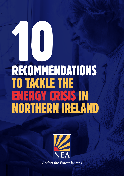# 10 RECOMMENDATIONS TO TACKLE THE ENERGY CRISIS IN NORTHERN IRELAND

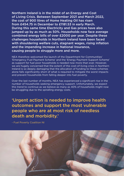Northern Ireland is in the midst of an Energy and Cost of Living Crisis. Between September 2021 and March 2022, the cost of 900 litres of Home Heating Oil has risen from £454.75 in December to £1181.53 in early March. During this same time Electricity and Gas prices have also jumped up by as much as 50%. Households now face average combined energy bills of over £2000 per year. Despite these challenges households in Northern Ireland have been faced with shouldering welfare cuts, stagnant wages, rising inflation and the impending increase in National Insurance, causing people to struggle more and more.

NEA therefore welcomed the launch of the Department for Communities' 'Emergency Fuel Payment Scheme' and the 'Energy Payment Support Scheme' as support for fuel poor households is needed now more than ever. However, we are hugely concerned that the extent of the cost-of-living crisis in Northern Ireland is so deeply damaging that the allocation of funding to these schemes alone falls significantly short of what is required to mitigate the worst impacts and prevent households from falling deeper into fuel poverty.

Over the last number of months, NEA has experienced a significant rise in the number of households seeking emergency support. Unfortunately, we expect this trend to continue as we believe as many as 40% of households might now be struggling due to the spiralling energy costs.

# 'Urgent action is needed to improve health outcomes and support the most vulnerable people who are at most risk of needless death and morbidity.'

- Fuel Poverty Coalition NI

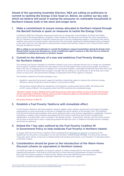Ahead of the upcoming Assembly Election, NEA are calling on politicians to commit to tackling the Energy Crisis head on. Below, we outline our key asks which we believe will assist in easing the pressures on vulnerable households in Northern Ireland, both in the short and longer term.

#### 1. Make a commitment to ensure money allocated to Northern Ireland through the Barnett formula is spent on measures to tackle the Energy Crisis.

In February 2022 the Chancellor announced a discount to energy bills across England, Scotland and Wales, and a Council Tax Energy Rebate in England. These initiatives will help ease the burden for many households in the UK. However, households in Northern Ireland are yet to see any widespread support. Consumers have had to weather price rises for several months meaning that they have been significantly disadvantaged when compared to the rest of the UK. The Chancellor's announcement means that Northern Ireland is set to receive £300 million through the Barnett Formula.

**NEA is calling on our local politicians to commit this funding to support householders during the Energy Crisis. Should further resource be allocated as a result of additional support measures in GB, then this too should be committed to tackling fuel poverty in Northern Ireland.**

#### 2. Commit to the delivery of a new and ambitious Fuel Poverty Strategy for Northern Ireland.

The existing Fuel Poverty Strategy for Northern Ireland is now over a decade old and can no longer be considered fit for purpose. Northern Ireland is the only region in the UK that doesn't have a fuel poverty target, and there is little in the way of strategic action to address our fuel poverty problem. Vulnerable households have been left in the cold for far too long and NEA think enough is enough. We are calling on our politicians to do all they can in their power to ensure this vital government strategy is progressed with all the urgency it requires.

The Northern Ireland Fuel Poverty Strategy must;

- Establish a practical fuel poverty target for Northern Ireland that seeks to improve the minimum energy efficiency rating of fuel poor homes to Band C, by the end of 2030.
- Set minimum energy efficiency standards in the domestic private rented sector (PRS). We believe that an EPC rating of Band C for properties within the PRS should be the considered target.

*"Northern Ireland needs a detailed and costed fuel poverty action-plan setting out how and when fuel poverty will be eradicated in Northern Ireland; and to provide continued support to households in severe fuel poverty to stay warm until fuel poverty is eradicated."*

*Pat Austin, Director of NEA NI*

#### 3. Establish a Fuel Poverty Taskforce with immediate effect.

A Fuel Poverty Taskforce will bring together industry leaders, policy experts, government and expert charitable organisations to work proactively on actions to mitigate the worst impacts of the Energy Crisis. The £2million Fuel Payment Scheme demonstrates what can be achieved when cross sectoral organisations collaborate. However, we believe a number of the problems associated with the scheme could have been further avoided if key stakeholders, including NEA, were consulted in the design process. Government, Industry, and the Advice Sector will all have an equal role to play in supporting people through the crisis. A Taskforce will help ensure a strategic and joined up approach.

#### 4. Embed the 7 key asks outlined by the Fuel Poverty Coalition NI in Government Policy to help eradicate Fuel Poverty in Northern Ireland.

In August 2021 the Fuel Poverty Coalition (FPC) published their [Manifesto for Warmth](https://fuelpovertyni.org/fpc-a-manifesto-for-warmth-2021/ ) in response to the Department for Economy's consultation on the new Northern Ireland Energy Strategy. This document outlines 7 key asks which will go a long way to helping tackle fuel poverty and ensure a 'just transition' to decarbonisation in Northern Ireland.

# 5. Consideration should be given to the Introduction of the Warm Home Discount scheme (or equivalent) in Northern Ireland.

The WHD provides for mandatory social price support to reduce energy bills for the most vulnerable. Qualifying households in GB receive a £150 discount on their electricity bill between October and March. Each year the scheme supports 2 million homes, helping more than 600,000 poorer pensioners<sup>1</sup>. Currently vulnerable households in Northern Ireland do not receive this support.